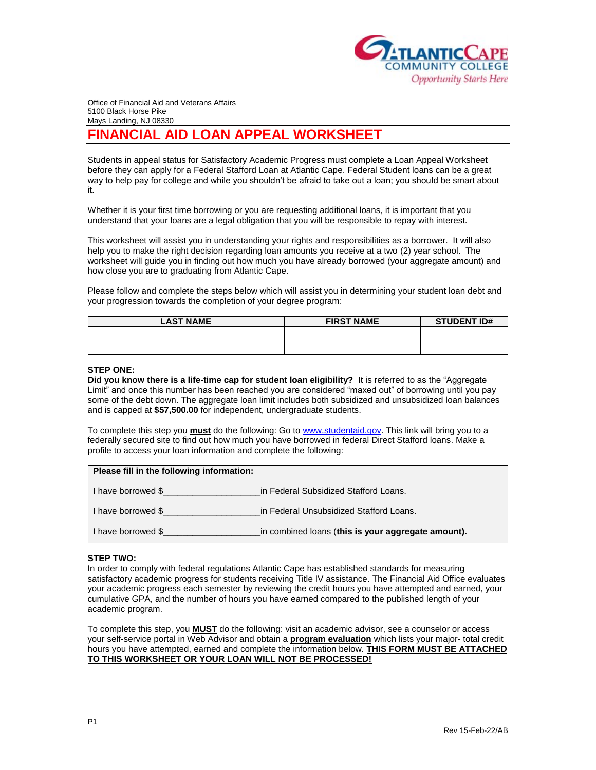

Office of Financial Aid and Veterans Affairs 5100 Black Horse Pike Mays Landing, NJ 08330

# **FINANCIAL AID LOAN APPEAL WORKSHEET**

Students in appeal status for Satisfactory Academic Progress must complete a Loan Appeal Worksheet before they can apply for a Federal Stafford Loan at Atlantic Cape. Federal Student loans can be a great way to help pay for college and while you shouldn't be afraid to take out a loan; you should be smart about it.

Whether it is your first time borrowing or you are requesting additional loans, it is important that you understand that your loans are a legal obligation that you will be responsible to repay with interest.

This worksheet will assist you in understanding your rights and responsibilities as a borrower. It will also help you to make the right decision regarding loan amounts you receive at a two (2) year school. The worksheet will guide you in finding out how much you have already borrowed (your aggregate amount) and how close you are to graduating from Atlantic Cape.

Please follow and complete the steps below which will assist you in determining your student loan debt and your progression towards the completion of your degree program:

| <b>LAST NAME</b> | <b>FIRST NAME</b> | <b>STUDENT ID#</b> |
|------------------|-------------------|--------------------|
|                  |                   |                    |
|                  |                   |                    |
|                  |                   |                    |

### **STEP ONE:**

**Did you know there is a life-time cap for student loan eligibility?** It is referred to as the "Aggregate Limit" and once this number has been reached you are considered "maxed out" of borrowing until you pay some of the debt down. The aggregate loan limit includes both subsidized and unsubsidized loan balances and is capped at **\$57,500.00** for independent, undergraduate students.

To complete this step you **must** do the following: Go to [www.studentaid.gov.](http://www.studentaid.gov/) This link will bring you to a federally secured site to find out how much you have borrowed in federal Direct Stafford loans. Make a profile to access your loan information and complete the following:

| Please fill in the following information: |                                                    |
|-------------------------------------------|----------------------------------------------------|
| I have borrowed \$                        | in Federal Subsidized Stafford Loans.              |
| I have borrowed \$                        | in Federal Unsubsidized Stafford Loans.            |
| I have borrowed \$                        | in combined loans (this is your aggregate amount). |

## **STEP TWO:**

In order to comply with federal regulations Atlantic Cape has established standards for measuring satisfactory academic progress for students receiving Title IV assistance. The Financial Aid Office evaluates your academic progress each semester by reviewing the credit hours you have attempted and earned, your cumulative GPA, and the number of hours you have earned compared to the published length of your academic program.

To complete this step, you **MUST** do the following: visit an academic advisor, see a counselor or access your self-service portal in Web Advisor and obtain a **program evaluation** which lists your major- total credit hours you have attempted, earned and complete the information below. **THIS FORM MUST BE ATTACHED TO THIS WORKSHEET OR YOUR LOAN WILL NOT BE PROCESSED!**